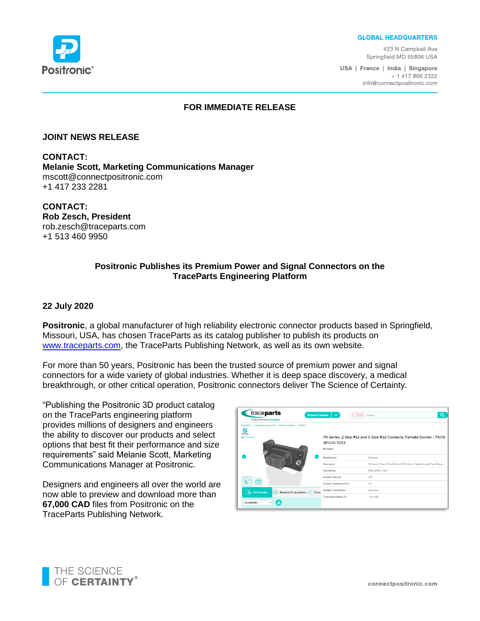**GLOBAL HEADQUARTERS** 

423 N Campbell Ave Springfield MO 65806 USA

USA | France | India | Singapore + 1 417 866 2322 info@connectpositronic.com



## **FOR IMMEDIATE RELEASE**

#### **JOINT NEWS RELEASE**

**CONTACT: Melanie Scott, Marketing Communications Manager** mscott@connectpositronic.com +1 417 233 2281

**CONTACT: Rob Zesch, President** rob.zesch@traceparts.com +1 513 460 9950

## **Positronic Publishes its Premium Power and Signal Connectors on the TraceParts Engineering Platform**

#### **22 July 2020**

**Positronic**, a global manufacturer of high reliability electronic connector products based in Springfield, Missouri, USA, has chosen TraceParts as its catalog publisher to publish its products on [www.traceparts.com,](www.traceparts.com) the TraceParts Publishing Network, as well as its own website.

For more than 50 years, Positronic has been the trusted source of premium power and signal connectors for a wide variety of global industries. Whether it is deep space discovery, a medical breakthrough, or other critical operation, Positronic connectors deliver The Science of Certainty.

"Publishing the Positronic 3D product catalog on the TraceParts engineering platform provides millions of designers and engineers the ability to discover our products and select options that best fit their performance and size requirements" said Melanie Scott, Marketing Communications Manager at Positronic.

Designers and engineers all over the world are now able to preview and download more than **67,000 CAD** files from Positronic on the TraceParts Publishing Network.